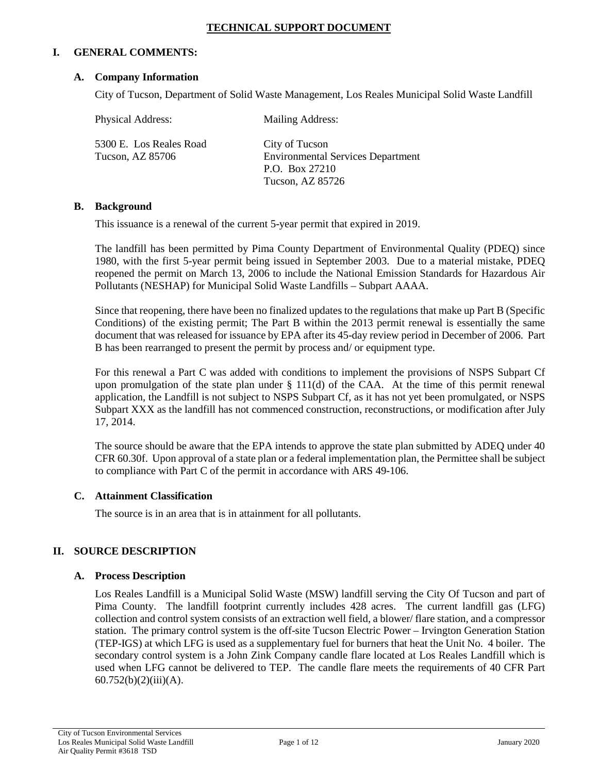## **TECHNICAL SUPPORT DOCUMENT**

## **I. GENERAL COMMENTS:**

### **A. Company Information**

City of Tucson, Department of Solid Waste Management, Los Reales Municipal Solid Waste Landfill

| Physical Address:                           | <b>Mailing Address:</b>                                                      |
|---------------------------------------------|------------------------------------------------------------------------------|
| 5300 E. Los Reales Road<br>Tucson, AZ 85706 | City of Tucson<br><b>Environmental Services Department</b><br>P.O. Box 27210 |
|                                             | Tucson, AZ 85726                                                             |

## **B. Background**

This issuance is a renewal of the current 5-year permit that expired in 2019.

The landfill has been permitted by Pima County Department of Environmental Quality (PDEQ) since 1980, with the first 5-year permit being issued in September 2003. Due to a material mistake, PDEQ reopened the permit on March 13, 2006 to include the National Emission Standards for Hazardous Air Pollutants (NESHAP) for Municipal Solid Waste Landfills – Subpart AAAA.

Since that reopening, there have been no finalized updates to the regulations that make up Part B (Specific Conditions) of the existing permit; The Part B within the 2013 permit renewal is essentially the same document that was released for issuance by EPA after its 45-day review period in December of 2006. Part B has been rearranged to present the permit by process and/ or equipment type.

For this renewal a Part C was added with conditions to implement the provisions of NSPS Subpart Cf upon promulgation of the state plan under  $\S$  111(d) of the CAA. At the time of this permit renewal application, the Landfill is not subject to NSPS Subpart Cf, as it has not yet been promulgated, or NSPS Subpart XXX as the landfill has not commenced construction, reconstructions, or modification after July 17, 2014.

The source should be aware that the EPA intends to approve the state plan submitted by ADEQ under 40 CFR 60.30f. Upon approval of a state plan or a federal implementation plan, the Permittee shall be subject to compliance with Part C of the permit in accordance with ARS 49-106.

#### **C. Attainment Classification**

The source is in an area that is in attainment for all pollutants.

## **II. SOURCE DESCRIPTION**

#### **A. Process Description**

Los Reales Landfill is a Municipal Solid Waste (MSW) landfill serving the City Of Tucson and part of Pima County. The landfill footprint currently includes 428 acres. The current landfill gas (LFG) collection and control system consists of an extraction well field, a blower/ flare station, and a compressor station. The primary control system is the off-site Tucson Electric Power – Irvington Generation Station (TEP-IGS) at which LFG is used as a supplementary fuel for burners that heat the Unit No. 4 boiler. The secondary control system is a John Zink Company candle flare located at Los Reales Landfill which is used when LFG cannot be delivered to TEP. The candle flare meets the requirements of 40 CFR Part 60.752(b)(2)(iii)(A).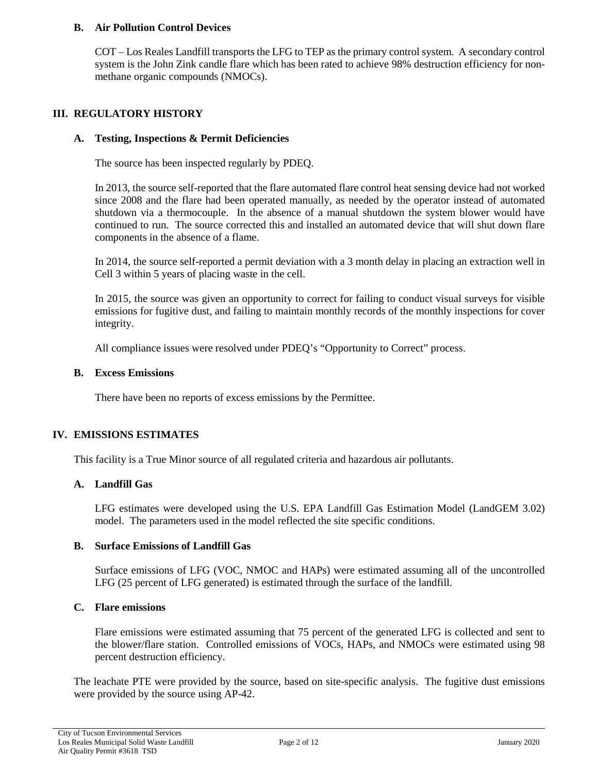## **B. Air Pollution Control Devices**

COT – Los Reales Landfill transports the LFG to TEP as the primary control system. A secondary control system is the John Zink candle flare which has been rated to achieve 98% destruction efficiency for nonmethane organic compounds (NMOCs).

## **III. REGULATORY HISTORY**

#### **A. Testing, Inspections & Permit Deficiencies**

The source has been inspected regularly by PDEQ.

In 2013, the source self-reported that the flare automated flare control heat sensing device had not worked since 2008 and the flare had been operated manually, as needed by the operator instead of automated shutdown via a thermocouple. In the absence of a manual shutdown the system blower would have continued to run. The source corrected this and installed an automated device that will shut down flare components in the absence of a flame.

In 2014, the source self-reported a permit deviation with a 3 month delay in placing an extraction well in Cell 3 within 5 years of placing waste in the cell.

In 2015, the source was given an opportunity to correct for failing to conduct visual surveys for visible emissions for fugitive dust, and failing to maintain monthly records of the monthly inspections for cover integrity.

All compliance issues were resolved under PDEQ's "Opportunity to Correct" process.

#### **B. Excess Emissions**

There have been no reports of excess emissions by the Permittee.

## **IV. EMISSIONS ESTIMATES**

This facility is a True Minor source of all regulated criteria and hazardous air pollutants.

### **A. Landfill Gas**

LFG estimates were developed using the U.S. EPA Landfill Gas Estimation Model (LandGEM 3.02) model. The parameters used in the model reflected the site specific conditions.

#### **B. Surface Emissions of Landfill Gas**

Surface emissions of LFG (VOC, NMOC and HAPs) were estimated assuming all of the uncontrolled LFG (25 percent of LFG generated) is estimated through the surface of the landfill.

#### **C. Flare emissions**

Flare emissions were estimated assuming that 75 percent of the generated LFG is collected and sent to the blower/flare station. Controlled emissions of VOCs, HAPs, and NMOCs were estimated using 98 percent destruction efficiency.

The leachate PTE were provided by the source, based on site-specific analysis. The fugitive dust emissions were provided by the source using AP-42.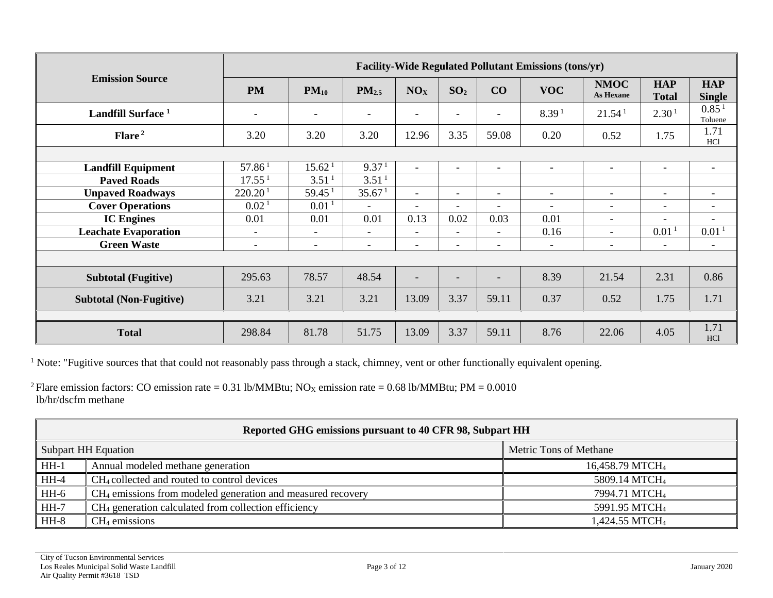| <b>Emission Source</b>         | <b>Facility-Wide Regulated Pollutant Emissions (tons/yr)</b> |                          |                          |                          |                          |                          |                          |                          |                            |                              |
|--------------------------------|--------------------------------------------------------------|--------------------------|--------------------------|--------------------------|--------------------------|--------------------------|--------------------------|--------------------------|----------------------------|------------------------------|
|                                | <b>PM</b>                                                    | $PM_{10}$                | PM <sub>2.5</sub>        | NO <sub>X</sub>          | SO <sub>2</sub>          | CO                       | <b>VOC</b>               | <b>NMOC</b><br>As Hexane | <b>HAP</b><br><b>Total</b> | <b>HAP</b><br><b>Single</b>  |
| Landfill Surface <sup>1</sup>  | $\overline{\phantom{a}}$                                     |                          | $\overline{\phantom{a}}$ | $\overline{\phantom{a}}$ |                          |                          | 8.39 <sup>1</sup>        | 21.54 <sup>1</sup>       | 2.30 <sup>1</sup>          | 0.85 <sup>1</sup><br>Toluene |
| Flare <sup>2</sup>             | 3.20                                                         | 3.20                     | 3.20                     | 12.96                    | 3.35                     | 59.08                    | 0.20                     | 0.52                     | 1.75                       | 1.71<br>HC <sub>1</sub>      |
|                                |                                                              |                          |                          |                          |                          |                          |                          |                          |                            |                              |
| <b>Landfill Equipment</b>      | 57.86 <sup>1</sup>                                           | 15.62 <sup>1</sup>       | 9.37 <sup>1</sup>        | $\overline{\phantom{a}}$ | $\overline{\phantom{a}}$ | $\overline{\phantom{a}}$ | $\overline{\phantom{a}}$ | $\overline{\phantom{a}}$ | $-$                        | $\overline{\phantom{a}}$     |
| <b>Paved Roads</b>             | 17.55 <sup>1</sup>                                           | 3.51 <sup>1</sup>        | 3.51 <sup>1</sup>        |                          |                          |                          |                          |                          |                            |                              |
| <b>Unpaved Roadways</b>        | 220.20 <sup>1</sup>                                          | 59.45 <sup>1</sup>       | 35.67 <sup>1</sup>       | $\overline{\phantom{a}}$ | $\overline{\phantom{a}}$ | $\overline{\phantom{a}}$ | $\overline{\phantom{a}}$ | $\overline{\phantom{a}}$ | $\overline{\phantom{a}}$   | $\overline{\phantom{a}}$     |
| <b>Cover Operations</b>        | 0.02 <sup>1</sup>                                            | 0.01 <sup>1</sup>        | $\overline{a}$           | $\overline{\phantom{0}}$ | $\overline{\phantom{0}}$ |                          | $\sim$                   | $\overline{\phantom{a}}$ | $\overline{\phantom{0}}$   | $\overline{\phantom{a}}$     |
| <b>IC</b> Engines              | 0.01                                                         | 0.01                     | 0.01                     | 0.13                     | 0.02                     | 0.03                     | 0.01                     | $\overline{\phantom{a}}$ | $\overline{\phantom{a}}$   | $\overline{\phantom{a}}$     |
| <b>Leachate Evaporation</b>    | $\overline{\phantom{0}}$                                     | $\overline{\phantom{0}}$ | $\overline{\phantom{a}}$ | $\overline{\phantom{0}}$ | $\overline{\phantom{0}}$ |                          | 0.16                     |                          | 0.01 <sup>1</sup>          | $0.01$ <sup>1</sup>          |
| <b>Green Waste</b>             | $\overline{\phantom{a}}$                                     | $-$                      | $\overline{\phantom{a}}$ | $\overline{\phantom{0}}$ | $\overline{\phantom{0}}$ | $\overline{\phantom{a}}$ | ۰                        | $\overline{\phantom{a}}$ | $\overline{\phantom{a}}$   | $\overline{\phantom{a}}$     |
|                                |                                                              |                          |                          |                          |                          |                          |                          |                          |                            |                              |
| <b>Subtotal (Fugitive)</b>     | 295.63                                                       | 78.57                    | 48.54                    | $\overline{\phantom{0}}$ |                          |                          | 8.39                     | 21.54                    | 2.31                       | 0.86                         |
| <b>Subtotal (Non-Fugitive)</b> | 3.21                                                         | 3.21                     | 3.21                     | 13.09                    | 3.37                     | 59.11                    | 0.37                     | 0.52                     | 1.75                       | 1.71                         |
|                                |                                                              |                          |                          |                          |                          |                          |                          |                          |                            |                              |
| <b>Total</b>                   | 298.84                                                       | 81.78                    | 51.75                    | 13.09                    | 3.37                     | 59.11                    | 8.76                     | 22.06                    | 4.05                       | 1.71<br>HC1                  |

<sup>1</sup> Note: "Fugitive sources that that could not reasonably pass through a stack, chimney, vent or other functionally equivalent opening.

<sup>2</sup> Flare emission factors: CO emission rate = 0.31 lb/MMBtu; NO<sub>X</sub> emission rate = 0.68 lb/MMBtu; PM = 0.0010 lb/hr/dscfm methane

| Reported GHG emissions pursuant to 40 CFR 98, Subpart HH |                                                                         |                             |  |  |
|----------------------------------------------------------|-------------------------------------------------------------------------|-----------------------------|--|--|
|                                                          | Subpart HH Equation                                                     | Metric Tons of Methane      |  |  |
| $HH-1$                                                   | Annual modeled methane generation                                       | 16,458.79 MTCH <sub>4</sub> |  |  |
| $HH-4$                                                   | CH <sub>4</sub> collected and routed to control devices                 | 5809.14 MTCH <sub>4</sub>   |  |  |
| HH-6                                                     | CH <sub>4</sub> emissions from modeled generation and measured recovery | 7994.71 MTCH <sub>4</sub>   |  |  |
| $\overline{HH-7}$                                        | CH <sub>4</sub> generation calculated from collection efficiency        | 5991.95 MTCH <sub>4</sub>   |  |  |
| $HH-8$                                                   | $CH4$ emissions                                                         | 1,424.55 MTCH <sub>4</sub>  |  |  |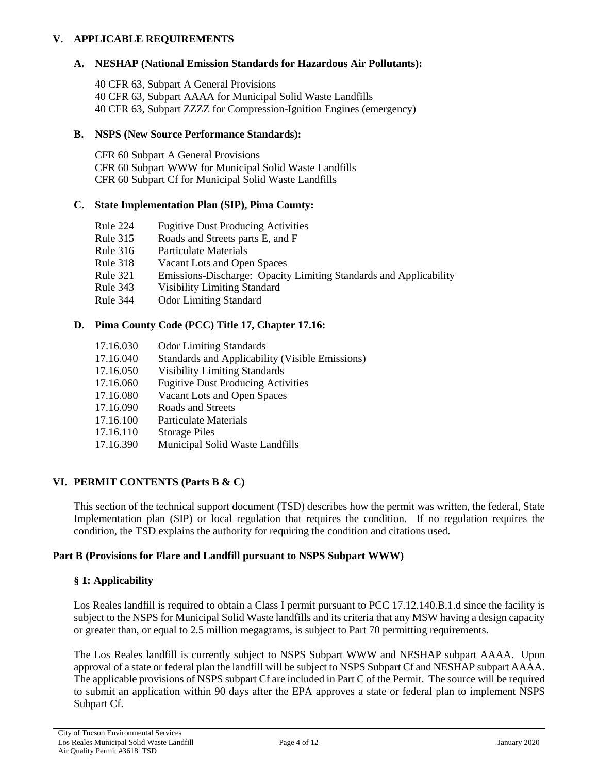## **V. APPLICABLE REQUIREMENTS**

## **A. NESHAP (National Emission Standards for Hazardous Air Pollutants):**

40 CFR 63, Subpart A General Provisions 40 CFR 63, Subpart AAAA for Municipal Solid Waste Landfills 40 CFR 63, Subpart ZZZZ for Compression-Ignition Engines (emergency)

## **B. NSPS (New Source Performance Standards):**

CFR 60 Subpart A General Provisions CFR 60 Subpart WWW for Municipal Solid Waste Landfills CFR 60 Subpart Cf for Municipal Solid Waste Landfills

## **C. State Implementation Plan (SIP), Pima County:**

- Rule 224 Fugitive Dust Producing Activities
- Rule 315 Roads and Streets parts E, and F
- Rule 316 Particulate Materials
- Rule 318 Vacant Lots and Open Spaces
- Rule 321 Emissions-Discharge: Opacity Limiting Standards and Applicability
- Rule 343 Visibility Limiting Standard
- Rule 344 Odor Limiting Standard

## **D. Pima County Code (PCC) Title 17, Chapter 17.16:**

- 17.16.030 Odor Limiting Standards
- 17.16.040 Standards and Applicability (Visible Emissions)
- 17.16.050 Visibility Limiting Standards
- 17.16.060 Fugitive Dust Producing Activities
- 17.16.080 Vacant Lots and Open Spaces
- 17.16.090 Roads and Streets
- 17.16.100 Particulate Materials
- 17.16.110 Storage Piles
- 17.16.390 Municipal Solid Waste Landfills

## **VI. PERMIT CONTENTS (Parts B & C)**

This section of the technical support document (TSD) describes how the permit was written, the federal, State Implementation plan (SIP) or local regulation that requires the condition. If no regulation requires the condition, the TSD explains the authority for requiring the condition and citations used.

#### **Part B (Provisions for Flare and Landfill pursuant to NSPS Subpart WWW)**

#### **§ 1: Applicability**

Los Reales landfill is required to obtain a Class I permit pursuant to PCC 17.12.140.B.1.d since the facility is subject to the NSPS for Municipal Solid Waste landfills and its criteria that any MSW having a design capacity or greater than, or equal to 2.5 million megagrams, is subject to Part 70 permitting requirements.

The Los Reales landfill is currently subject to NSPS Subpart WWW and NESHAP subpart AAAA. Upon approval of a state or federal plan the landfill will be subject to NSPS Subpart Cf and NESHAP subpart AAAA. The applicable provisions of NSPS subpart Cf are included in Part C of the Permit. The source will be required to submit an application within 90 days after the EPA approves a state or federal plan to implement NSPS Subpart Cf.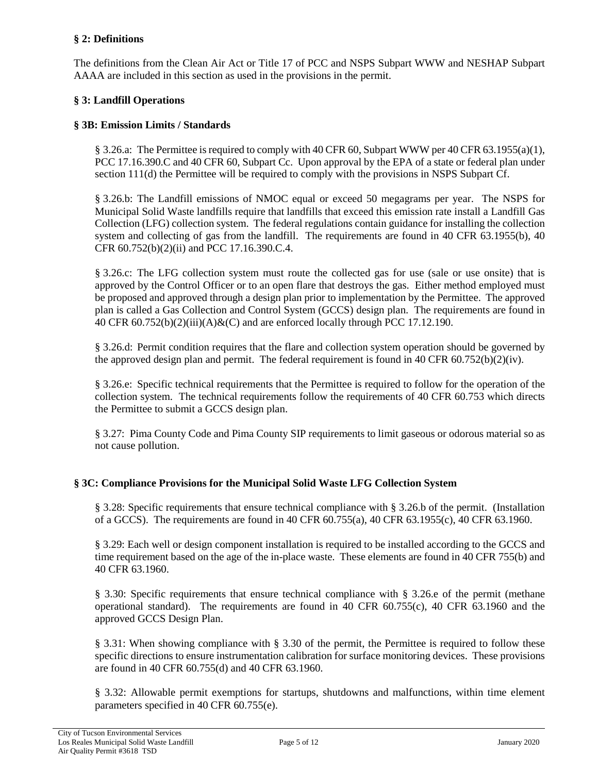## **§ 2: Definitions**

The definitions from the Clean Air Act or Title 17 of PCC and NSPS Subpart WWW and NESHAP Subpart AAAA are included in this section as used in the provisions in the permit.

## **§ 3: Landfill Operations**

## **§ 3B: Emission Limits / Standards**

§ 3.26.a: The Permittee is required to comply with 40 CFR 60, Subpart WWW per 40 CFR 63.1955(a)(1), PCC 17.16.390.C and 40 CFR 60, Subpart Cc. Upon approval by the EPA of a state or federal plan under section 111(d) the Permittee will be required to comply with the provisions in NSPS Subpart Cf.

§ 3.26.b: The Landfill emissions of NMOC equal or exceed 50 megagrams per year. The NSPS for Municipal Solid Waste landfills require that landfills that exceed this emission rate install a Landfill Gas Collection (LFG) collection system. The federal regulations contain guidance for installing the collection system and collecting of gas from the landfill. The requirements are found in 40 CFR 63.1955(b), 40 CFR 60.752(b)(2)(ii) and PCC 17.16.390.C.4.

§ 3.26.c: The LFG collection system must route the collected gas for use (sale or use onsite) that is approved by the Control Officer or to an open flare that destroys the gas. Either method employed must be proposed and approved through a design plan prior to implementation by the Permittee. The approved plan is called a Gas Collection and Control System (GCCS) design plan. The requirements are found in 40 CFR  $60.752(b)(2)(iii)(A) \& (C)$  and are enforced locally through PCC 17.12.190.

§ 3.26.d: Permit condition requires that the flare and collection system operation should be governed by the approved design plan and permit. The federal requirement is found in 40 CFR 60.752(b)(2)(iv).

§ 3.26.e: Specific technical requirements that the Permittee is required to follow for the operation of the collection system. The technical requirements follow the requirements of 40 CFR 60.753 which directs the Permittee to submit a GCCS design plan.

§ 3.27: Pima County Code and Pima County SIP requirements to limit gaseous or odorous material so as not cause pollution.

## **§ 3C: Compliance Provisions for the Municipal Solid Waste LFG Collection System**

§ 3.28: Specific requirements that ensure technical compliance with § 3.26.b of the permit. (Installation of a GCCS). The requirements are found in 40 CFR 60.755(a), 40 CFR 63.1955(c), 40 CFR 63.1960.

§ 3.29: Each well or design component installation is required to be installed according to the GCCS and time requirement based on the age of the in-place waste. These elements are found in 40 CFR 755(b) and 40 CFR 63.1960.

§ 3.30: Specific requirements that ensure technical compliance with § 3.26.e of the permit (methane operational standard). The requirements are found in 40 CFR 60.755(c), 40 CFR 63.1960 and the approved GCCS Design Plan.

§ 3.31: When showing compliance with § 3.30 of the permit, the Permittee is required to follow these specific directions to ensure instrumentation calibration for surface monitoring devices. These provisions are found in 40 CFR 60.755(d) and 40 CFR 63.1960.

§ 3.32: Allowable permit exemptions for startups, shutdowns and malfunctions, within time element parameters specified in 40 CFR 60.755(e).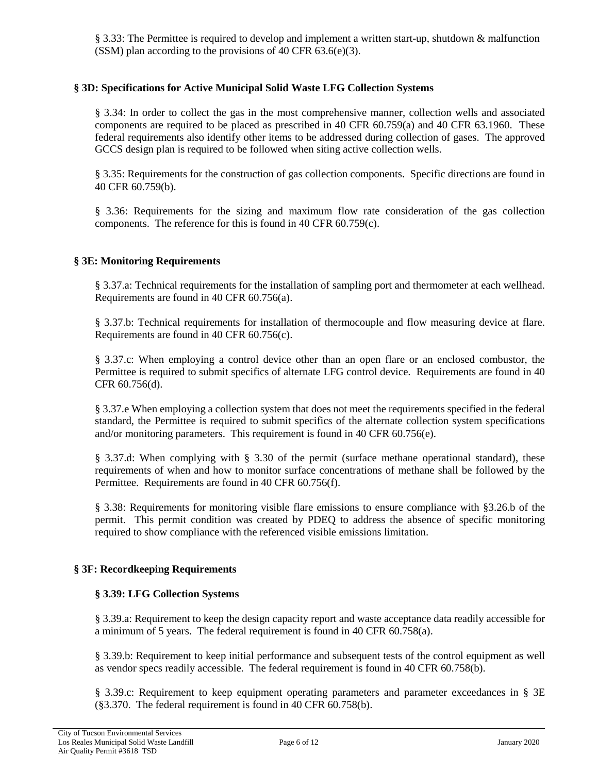§ 3.33: The Permittee is required to develop and implement a written start-up, shutdown & malfunction (SSM) plan according to the provisions of 40 CFR  $63.6(e)(3)$ .

## **§ 3D: Specifications for Active Municipal Solid Waste LFG Collection Systems**

§ 3.34: In order to collect the gas in the most comprehensive manner, collection wells and associated components are required to be placed as prescribed in 40 CFR 60.759(a) and 40 CFR 63.1960. These federal requirements also identify other items to be addressed during collection of gases. The approved GCCS design plan is required to be followed when siting active collection wells.

§ 3.35: Requirements for the construction of gas collection components. Specific directions are found in 40 CFR 60.759(b).

§ 3.36: Requirements for the sizing and maximum flow rate consideration of the gas collection components. The reference for this is found in 40 CFR 60.759(c).

## **§ 3E: Monitoring Requirements**

§ 3.37.a: Technical requirements for the installation of sampling port and thermometer at each wellhead. Requirements are found in 40 CFR 60.756(a).

§ 3.37.b: Technical requirements for installation of thermocouple and flow measuring device at flare. Requirements are found in 40 CFR 60.756(c).

§ 3.37.c: When employing a control device other than an open flare or an enclosed combustor, the Permittee is required to submit specifics of alternate LFG control device. Requirements are found in 40 CFR 60.756(d).

§ 3.37.e When employing a collection system that does not meet the requirements specified in the federal standard, the Permittee is required to submit specifics of the alternate collection system specifications and/or monitoring parameters. This requirement is found in 40 CFR 60.756(e).

§ 3.37.d: When complying with § 3.30 of the permit (surface methane operational standard), these requirements of when and how to monitor surface concentrations of methane shall be followed by the Permittee. Requirements are found in 40 CFR 60.756(f).

§ 3.38: Requirements for monitoring visible flare emissions to ensure compliance with §3.26.b of the permit. This permit condition was created by PDEQ to address the absence of specific monitoring required to show compliance with the referenced visible emissions limitation.

## **§ 3F: Recordkeeping Requirements**

#### **§ 3.39: LFG Collection Systems**

§ 3.39.a: Requirement to keep the design capacity report and waste acceptance data readily accessible for a minimum of 5 years. The federal requirement is found in 40 CFR 60.758(a).

§ 3.39.b: Requirement to keep initial performance and subsequent tests of the control equipment as well as vendor specs readily accessible. The federal requirement is found in 40 CFR 60.758(b).

§ 3.39.c: Requirement to keep equipment operating parameters and parameter exceedances in § 3E (§3.370. The federal requirement is found in 40 CFR 60.758(b).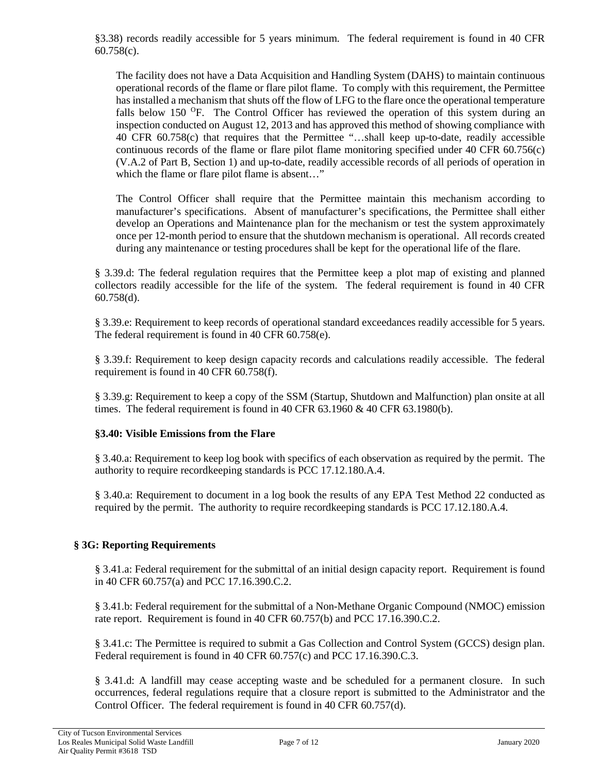§3.38) records readily accessible for 5 years minimum. The federal requirement is found in 40 CFR 60.758(c).

The facility does not have a Data Acquisition and Handling System (DAHS) to maintain continuous operational records of the flame or flare pilot flame. To comply with this requirement, the Permittee has installed a mechanism that shuts off the flow of LFG to the flare once the operational temperature falls below 150 <sup>O</sup>F. The Control Officer has reviewed the operation of this system during an inspection conducted on August 12, 2013 and has approved this method of showing compliance with 40 CFR 60.758(c) that requires that the Permittee "…shall keep up-to-date, readily accessible continuous records of the flame or flare pilot flame monitoring specified under 40 CFR 60.756(c) (V.A.2 of Part B, Section 1) and up-to-date, readily accessible records of all periods of operation in which the flame or flare pilot flame is absent..."

The Control Officer shall require that the Permittee maintain this mechanism according to manufacturer's specifications. Absent of manufacturer's specifications, the Permittee shall either develop an Operations and Maintenance plan for the mechanism or test the system approximately once per 12-month period to ensure that the shutdown mechanism is operational. All records created during any maintenance or testing procedures shall be kept for the operational life of the flare.

§ 3.39.d: The federal regulation requires that the Permittee keep a plot map of existing and planned collectors readily accessible for the life of the system. The federal requirement is found in 40 CFR 60.758(d).

§ 3.39.e: Requirement to keep records of operational standard exceedances readily accessible for 5 years. The federal requirement is found in 40 CFR 60.758(e).

§ 3.39.f: Requirement to keep design capacity records and calculations readily accessible. The federal requirement is found in 40 CFR 60.758(f).

§ 3.39.g: Requirement to keep a copy of the SSM (Startup, Shutdown and Malfunction) plan onsite at all times. The federal requirement is found in 40 CFR  $63.1960 \& 40$  CFR  $63.1980(b)$ .

## **§3.40: Visible Emissions from the Flare**

§ 3.40.a: Requirement to keep log book with specifics of each observation as required by the permit. The authority to require recordkeeping standards is PCC 17.12.180.A.4.

§ 3.40.a: Requirement to document in a log book the results of any EPA Test Method 22 conducted as required by the permit. The authority to require recordkeeping standards is PCC 17.12.180.A.4.

## **§ 3G: Reporting Requirements**

§ 3.41.a: Federal requirement for the submittal of an initial design capacity report. Requirement is found in 40 CFR 60.757(a) and PCC 17.16.390.C.2.

§ 3.41.b: Federal requirement for the submittal of a Non-Methane Organic Compound (NMOC) emission rate report. Requirement is found in 40 CFR 60.757(b) and PCC 17.16.390.C.2.

§ 3.41.c: The Permittee is required to submit a Gas Collection and Control System (GCCS) design plan. Federal requirement is found in 40 CFR 60.757(c) and PCC 17.16.390.C.3.

§ 3.41.d: A landfill may cease accepting waste and be scheduled for a permanent closure. In such occurrences, federal regulations require that a closure report is submitted to the Administrator and the Control Officer. The federal requirement is found in 40 CFR 60.757(d).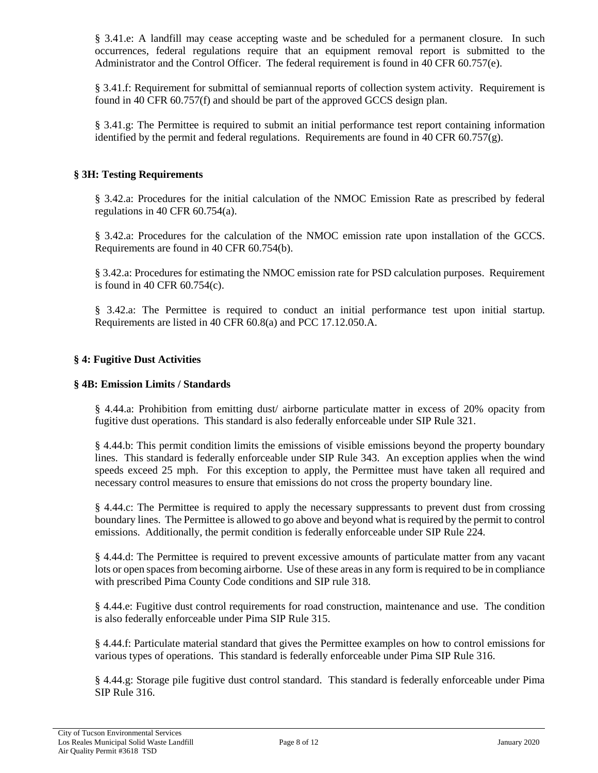§ 3.41.e: A landfill may cease accepting waste and be scheduled for a permanent closure. In such occurrences, federal regulations require that an equipment removal report is submitted to the Administrator and the Control Officer. The federal requirement is found in 40 CFR 60.757(e).

§ 3.41.f: Requirement for submittal of semiannual reports of collection system activity. Requirement is found in 40 CFR 60.757(f) and should be part of the approved GCCS design plan.

§ 3.41.g: The Permittee is required to submit an initial performance test report containing information identified by the permit and federal regulations. Requirements are found in 40 CFR  $60.757(g)$ .

## **§ 3H: Testing Requirements**

§ 3.42.a: Procedures for the initial calculation of the NMOC Emission Rate as prescribed by federal regulations in 40 CFR 60.754(a).

§ 3.42.a: Procedures for the calculation of the NMOC emission rate upon installation of the GCCS. Requirements are found in 40 CFR 60.754(b).

§ 3.42.a: Procedures for estimating the NMOC emission rate for PSD calculation purposes. Requirement is found in 40 CFR 60.754(c).

§ 3.42.a: The Permittee is required to conduct an initial performance test upon initial startup. Requirements are listed in 40 CFR 60.8(a) and PCC 17.12.050.A.

#### **§ 4: Fugitive Dust Activities**

#### **§ 4B: Emission Limits / Standards**

§ 4.44.a: Prohibition from emitting dust/ airborne particulate matter in excess of 20% opacity from fugitive dust operations. This standard is also federally enforceable under SIP Rule 321.

§ 4.44.b: This permit condition limits the emissions of visible emissions beyond the property boundary lines. This standard is federally enforceable under SIP Rule 343. An exception applies when the wind speeds exceed 25 mph. For this exception to apply, the Permittee must have taken all required and necessary control measures to ensure that emissions do not cross the property boundary line.

§ 4.44.c: The Permittee is required to apply the necessary suppressants to prevent dust from crossing boundary lines. The Permittee is allowed to go above and beyond what is required by the permit to control emissions. Additionally, the permit condition is federally enforceable under SIP Rule 224.

§ 4.44.d: The Permittee is required to prevent excessive amounts of particulate matter from any vacant lots or open spaces from becoming airborne. Use of these areas in any form is required to be in compliance with prescribed Pima County Code conditions and SIP rule 318.

§ 4.44.e: Fugitive dust control requirements for road construction, maintenance and use. The condition is also federally enforceable under Pima SIP Rule 315.

§ 4.44.f: Particulate material standard that gives the Permittee examples on how to control emissions for various types of operations. This standard is federally enforceable under Pima SIP Rule 316.

§ 4.44.g: Storage pile fugitive dust control standard. This standard is federally enforceable under Pima SIP Rule 316.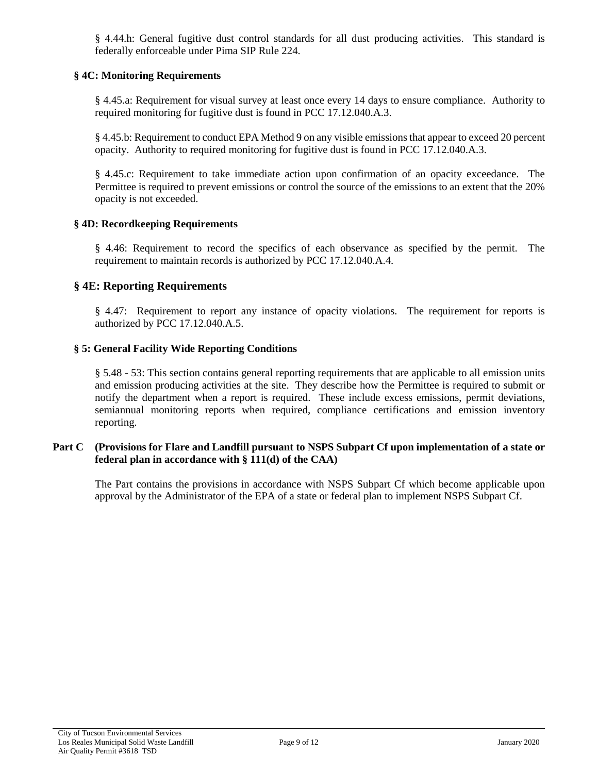§ 4.44.h: General fugitive dust control standards for all dust producing activities. This standard is federally enforceable under Pima SIP Rule 224.

## **§ 4C: Monitoring Requirements**

§ 4.45.a: Requirement for visual survey at least once every 14 days to ensure compliance. Authority to required monitoring for fugitive dust is found in PCC 17.12.040.A.3.

§ 4.45.b: Requirement to conduct EPA Method 9 on any visible emissions that appear to exceed 20 percent opacity. Authority to required monitoring for fugitive dust is found in PCC 17.12.040.A.3.

§ 4.45.c: Requirement to take immediate action upon confirmation of an opacity exceedance. The Permittee is required to prevent emissions or control the source of the emissions to an extent that the 20% opacity is not exceeded.

## **§ 4D: Recordkeeping Requirements**

§ 4.46: Requirement to record the specifics of each observance as specified by the permit. The requirement to maintain records is authorized by PCC 17.12.040.A.4.

## **§ 4E: Reporting Requirements**

§ 4.47: Requirement to report any instance of opacity violations. The requirement for reports is authorized by PCC 17.12.040.A.5.

## **§ 5: General Facility Wide Reporting Conditions**

§ 5.48 - 53: This section contains general reporting requirements that are applicable to all emission units and emission producing activities at the site. They describe how the Permittee is required to submit or notify the department when a report is required. These include excess emissions, permit deviations, semiannual monitoring reports when required, compliance certifications and emission inventory reporting.

## **Part C (Provisions for Flare and Landfill pursuant to NSPS Subpart Cf upon implementation of a state or federal plan in accordance with § 111(d) of the CAA)**

The Part contains the provisions in accordance with NSPS Subpart Cf which become applicable upon approval by the Administrator of the EPA of a state or federal plan to implement NSPS Subpart Cf.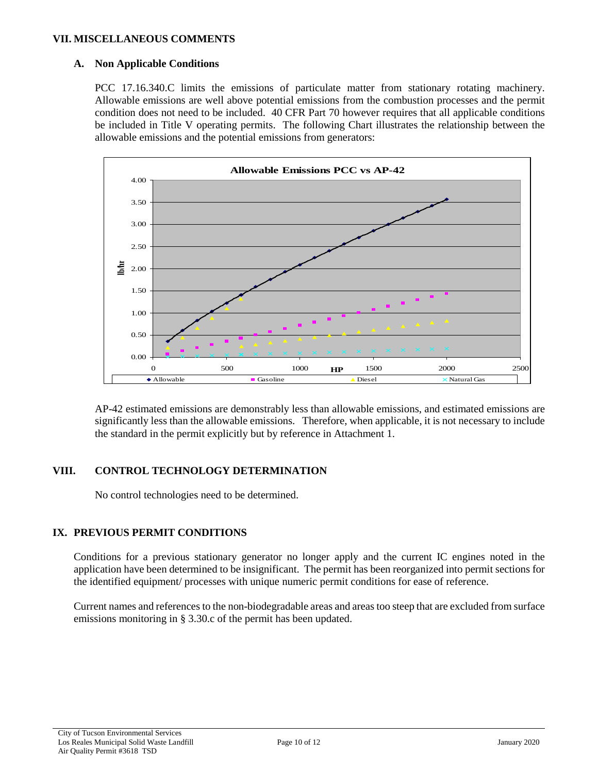### **VII. MISCELLANEOUS COMMENTS**

## **A. Non Applicable Conditions**

PCC 17.16.340.C limits the emissions of particulate matter from stationary rotating machinery. Allowable emissions are well above potential emissions from the combustion processes and the permit condition does not need to be included. 40 CFR Part 70 however requires that all applicable conditions be included in Title V operating permits. The following Chart illustrates the relationship between the allowable emissions and the potential emissions from generators:



AP-42 estimated emissions are demonstrably less than allowable emissions, and estimated emissions are significantly less than the allowable emissions. Therefore, when applicable, it is not necessary to include the standard in the permit explicitly but by reference in Attachment 1.

## **VIII. CONTROL TECHNOLOGY DETERMINATION**

No control technologies need to be determined.

# **IX. PREVIOUS PERMIT CONDITIONS**

Conditions for a previous stationary generator no longer apply and the current IC engines noted in the application have been determined to be insignificant. The permit has been reorganized into permit sections for the identified equipment/ processes with unique numeric permit conditions for ease of reference.

Current names and references to the non-biodegradable areas and areas too steep that are excluded from surface emissions monitoring in § 3.30.c of the permit has been updated.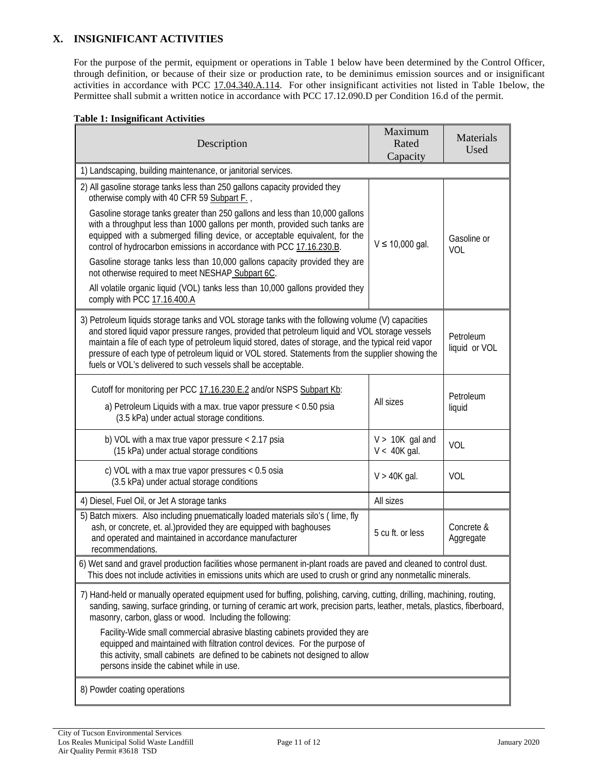## **X. INSIGNIFICANT ACTIVITIES**

For the purpose of the permit, equipment or operations in Table 1 below have been determined by the Control Officer, through definition, or because of their size or production rate, to be deminimus emission sources and or insignificant activities in accordance with [PCC 17.04.340.A.114.](https://tinyurl.com/17-04-340) For other insignificant activities not listed in Table 1below, the Permittee shall submit a written notice in accordance with PCC 17.12.090.D per Condition 16.d of the permit.

#### **Table 1: Insignificant Activities**

| Description                                                                                                                                                                                                                                                                                                                                                                                                                                                                                                                                                                                                                                                                                         | Maximum<br>Rated<br>Capacity        | Materials<br>Used       |  |  |  |
|-----------------------------------------------------------------------------------------------------------------------------------------------------------------------------------------------------------------------------------------------------------------------------------------------------------------------------------------------------------------------------------------------------------------------------------------------------------------------------------------------------------------------------------------------------------------------------------------------------------------------------------------------------------------------------------------------------|-------------------------------------|-------------------------|--|--|--|
| 1) Landscaping, building maintenance, or janitorial services.                                                                                                                                                                                                                                                                                                                                                                                                                                                                                                                                                                                                                                       |                                     |                         |  |  |  |
| 2) All gasoline storage tanks less than 250 gallons capacity provided they<br>otherwise comply with 40 CFR 59 Subpart F.,<br>Gasoline storage tanks greater than 250 gallons and less than 10,000 gallons<br>with a throughput less than 1000 gallons per month, provided such tanks are<br>equipped with a submerged filling device, or acceptable equivalent, for the<br>control of hydrocarbon emissions in accordance with PCC 17.16.230.B.<br>Gasoline storage tanks less than 10,000 gallons capacity provided they are<br>not otherwise required to meet NESHAP Subpart 6C.<br>All volatile organic liquid (VOL) tanks less than 10,000 gallons provided they<br>comply with PCC 17.16.400.A | $V \le 10,000$ gal.                 | Gasoline or<br>VOL      |  |  |  |
| 3) Petroleum liquids storage tanks and VOL storage tanks with the following volume (V) capacities<br>and stored liquid vapor pressure ranges, provided that petroleum liquid and VOL storage vessels<br>maintain a file of each type of petroleum liquid stored, dates of storage, and the typical reid vapor<br>pressure of each type of petroleum liquid or VOL stored. Statements from the supplier showing the<br>fuels or VOL's delivered to such vessels shall be acceptable.                                                                                                                                                                                                                 | Petroleum<br>liquid or VOL          |                         |  |  |  |
| Cutoff for monitoring per PCC 17.16.230.E.2 and/or NSPS Subpart Kb:<br>a) Petroleum Liquids with a max. true vapor pressure < 0.50 psia<br>(3.5 kPa) under actual storage conditions.                                                                                                                                                                                                                                                                                                                                                                                                                                                                                                               | All sizes                           | Petroleum<br>liquid     |  |  |  |
| b) VOL with a max true vapor pressure $< 2.17$ psia<br>(15 kPa) under actual storage conditions                                                                                                                                                                                                                                                                                                                                                                                                                                                                                                                                                                                                     | $V > 10K$ gal and<br>$V < 40K$ gal. | VOL                     |  |  |  |
| c) VOL with a max true vapor pressures $< 0.5$ osia<br>(3.5 kPa) under actual storage conditions                                                                                                                                                                                                                                                                                                                                                                                                                                                                                                                                                                                                    | $V > 40K$ gal.                      | VOL                     |  |  |  |
| 4) Diesel, Fuel Oil, or Jet A storage tanks                                                                                                                                                                                                                                                                                                                                                                                                                                                                                                                                                                                                                                                         | All sizes                           |                         |  |  |  |
| 5) Batch mixers. Also including pnuematically loaded materials silo's (lime, fly<br>ash, or concrete, et. al.) provided they are equipped with baghouses<br>and operated and maintained in accordance manufacturer<br>recommendations.                                                                                                                                                                                                                                                                                                                                                                                                                                                              | 5 cu ft. or less                    | Concrete &<br>Aggregate |  |  |  |
| 6) Wet sand and gravel production facilities whose permanent in-plant roads are paved and cleaned to control dust.<br>This does not include activities in emissions units which are used to crush or grind any nonmetallic minerals.                                                                                                                                                                                                                                                                                                                                                                                                                                                                |                                     |                         |  |  |  |
| 7) Hand-held or manually operated equipment used for buffing, polishing, carving, cutting, drilling, machining, routing,<br>sanding, sawing, surface grinding, or turning of ceramic art work, precision parts, leather, metals, plastics, fiberboard,<br>masonry, carbon, glass or wood. Including the following:<br>Facility-Wide small commercial abrasive blasting cabinets provided they are<br>equipped and maintained with filtration control devices. For the purpose of<br>this activity, small cabinets are defined to be cabinets not designed to allow<br>persons inside the cabinet while in use.                                                                                      |                                     |                         |  |  |  |
| 8) Powder coating operations                                                                                                                                                                                                                                                                                                                                                                                                                                                                                                                                                                                                                                                                        |                                     |                         |  |  |  |

 $\mathsf{l}$